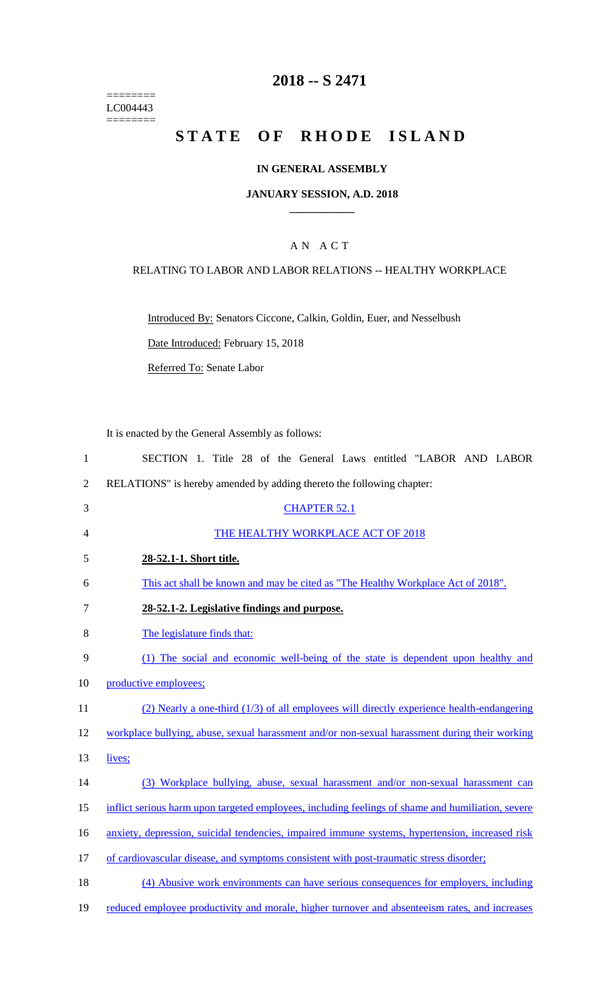======== LC004443  $=$ 

# **2018 -- S 2471**

# STATE OF RHODE ISLAND

## **IN GENERAL ASSEMBLY**

#### **JANUARY SESSION, A.D. 2018 \_\_\_\_\_\_\_\_\_\_\_\_**

## A N A C T

### RELATING TO LABOR AND LABOR RELATIONS -- HEALTHY WORKPLACE

Introduced By: Senators Ciccone, Calkin, Goldin, Euer, and Nesselbush

Date Introduced: February 15, 2018

Referred To: Senate Labor

It is enacted by the General Assembly as follows:

| $\mathbf{1}$   | SECTION 1. Title 28 of the General Laws entitled "LABOR AND LABOR                                 |
|----------------|---------------------------------------------------------------------------------------------------|
| $\sqrt{2}$     | RELATIONS" is hereby amended by adding thereto the following chapter:                             |
| 3              | <b>CHAPTER 52.1</b>                                                                               |
| $\overline{4}$ | THE HEALTHY WORKPLACE ACT OF 2018                                                                 |
| 5              | 28-52.1-1. Short title.                                                                           |
| 6              | This act shall be known and may be cited as "The Healthy Workplace Act of 2018".                  |
| $\tau$         | 28-52.1-2. Legislative findings and purpose.                                                      |
| 8              | The legislature finds that:                                                                       |
| 9              | (1) The social and economic well-being of the state is dependent upon healthy and                 |
| 10             | productive employees;                                                                             |
| 11             | $(2)$ Nearly a one-third $(1/3)$ of all employees will directly experience health-endangering     |
| 12             | workplace bullying, abuse, sexual harassment and/or non-sexual harassment during their working    |
| 13             | lives;                                                                                            |
| 14             | (3) Workplace bullying, abuse, sexual harassment and/or non-sexual harassment can                 |
| 15             | inflict serious harm upon targeted employees, including feelings of shame and humiliation, severe |
| 16             | anxiety, depression, suicidal tendencies, impaired immune systems, hypertension, increased risk   |
| 17             | of cardiovascular disease, and symptoms consistent with post-traumatic stress disorder;           |
| 18             | (4) Abusive work environments can have serious consequences for employers, including              |
| 19             | reduced employee productivity and morale, higher turnover and absenteeism rates, and increases    |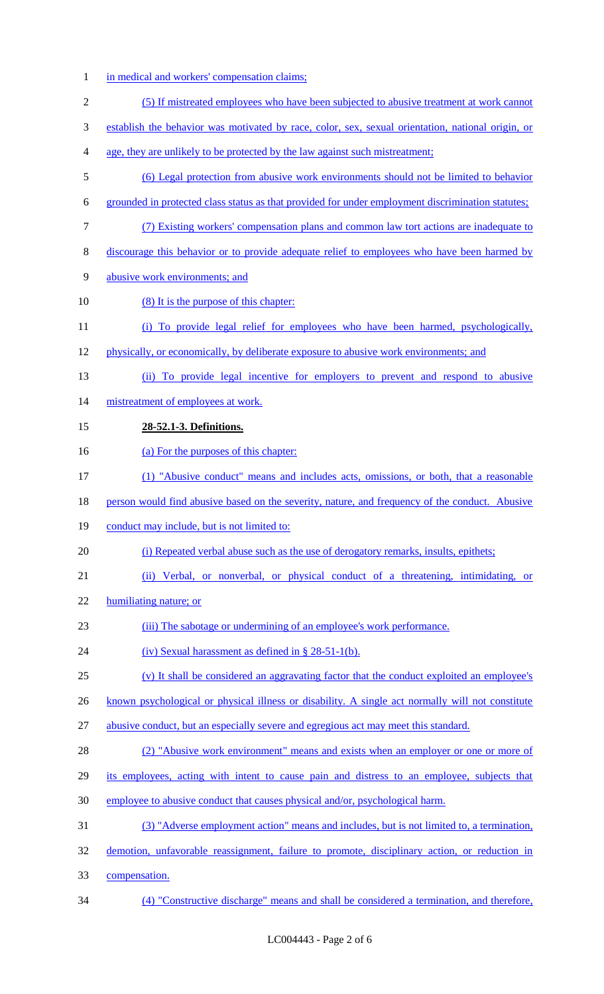- 1 in medical and workers' compensation claims; (5) If mistreated employees who have been subjected to abusive treatment at work cannot establish the behavior was motivated by race, color, sex, sexual orientation, national origin, or age, they are unlikely to be protected by the law against such mistreatment; (6) Legal protection from abusive work environments should not be limited to behavior grounded in protected class status as that provided for under employment discrimination statutes; (7) Existing workers' compensation plans and common law tort actions are inadequate to discourage this behavior or to provide adequate relief to employees who have been harmed by abusive work environments; and 10 (8) It is the purpose of this chapter: (i) To provide legal relief for employees who have been harmed, psychologically, physically, or economically, by deliberate exposure to abusive work environments; and (ii) To provide legal incentive for employers to prevent and respond to abusive 14 mistreatment of employees at work. **28-52.1-3. Definitions.** 16 (a) For the purposes of this chapter: (1) "Abusive conduct" means and includes acts, omissions, or both, that a reasonable 18 person would find abusive based on the severity, nature, and frequency of the conduct. Abusive 19 conduct may include, but is not limited to: (i) Repeated verbal abuse such as the use of derogatory remarks, insults, epithets; (ii) Verbal, or nonverbal, or physical conduct of a threatening, intimidating, or humiliating nature; or (iii) The sabotage or undermining of an employee's work performance. 24 (iv) Sexual harassment as defined in § 28-51-1(b). (v) It shall be considered an aggravating factor that the conduct exploited an employee's 26 known psychological or physical illness or disability. A single act normally will not constitute abusive conduct, but an especially severe and egregious act may meet this standard. (2) "Abusive work environment" means and exists when an employer or one or more of 29 its employees, acting with intent to cause pain and distress to an employee, subjects that employee to abusive conduct that causes physical and/or, psychological harm. (3) "Adverse employment action" means and includes, but is not limited to, a termination, demotion, unfavorable reassignment, failure to promote, disciplinary action, or reduction in
	- compensation.
	- (4) "Constructive discharge" means and shall be considered a termination, and therefore,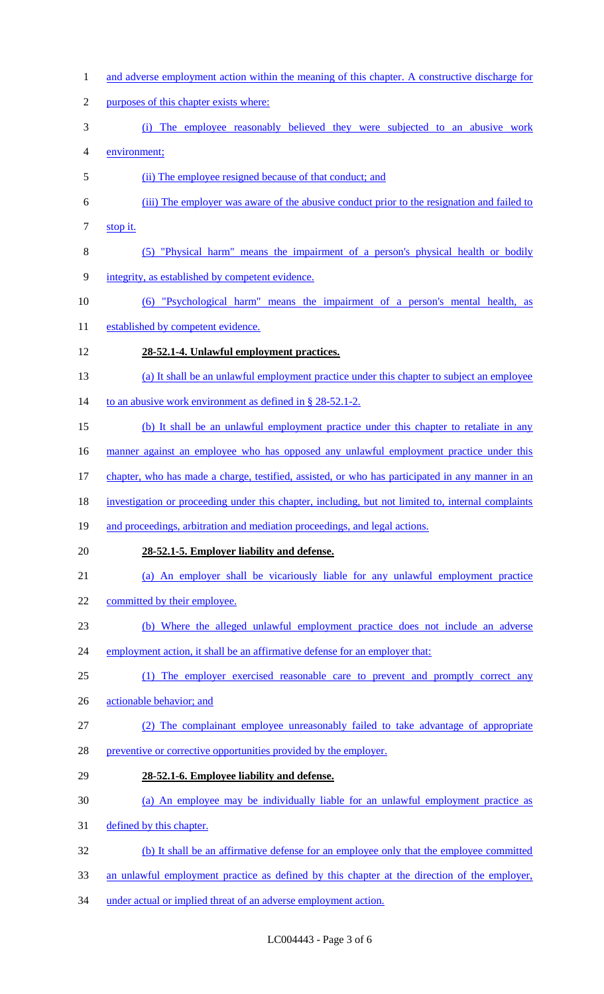and adverse employment action within the meaning of this chapter. A constructive discharge for purposes of this chapter exists where: (i) The employee reasonably believed they were subjected to an abusive work environment; (ii) The employee resigned because of that conduct; and (iii) The employer was aware of the abusive conduct prior to the resignation and failed to stop it. (5) "Physical harm" means the impairment of a person's physical health or bodily integrity, as established by competent evidence. (6) "Psychological harm" means the impairment of a person's mental health, as 11 established by competent evidence. **28-52.1-4. Unlawful employment practices.** (a) It shall be an unlawful employment practice under this chapter to subject an employee 14 to an abusive work environment as defined in § 28-52.1-2. (b) It shall be an unlawful employment practice under this chapter to retaliate in any 16 manner against an employee who has opposed any unlawful employment practice under this chapter, who has made a charge, testified, assisted, or who has participated in any manner in an investigation or proceeding under this chapter, including, but not limited to, internal complaints and proceedings, arbitration and mediation proceedings, and legal actions. **28-52.1-5. Employer liability and defense.** (a) An employer shall be vicariously liable for any unlawful employment practice 22 committed by their employee. (b) Where the alleged unlawful employment practice does not include an adverse 24 employment action, it shall be an affirmative defense for an employer that: (1) The employer exercised reasonable care to prevent and promptly correct any actionable behavior; and (2) The complainant employee unreasonably failed to take advantage of appropriate 28 preventive or corrective opportunities provided by the employer. **28-52.1-6. Employee liability and defense.** (a) An employee may be individually liable for an unlawful employment practice as defined by this chapter. (b) It shall be an affirmative defense for an employee only that the employee committed an unlawful employment practice as defined by this chapter at the direction of the employer, under actual or implied threat of an adverse employment action.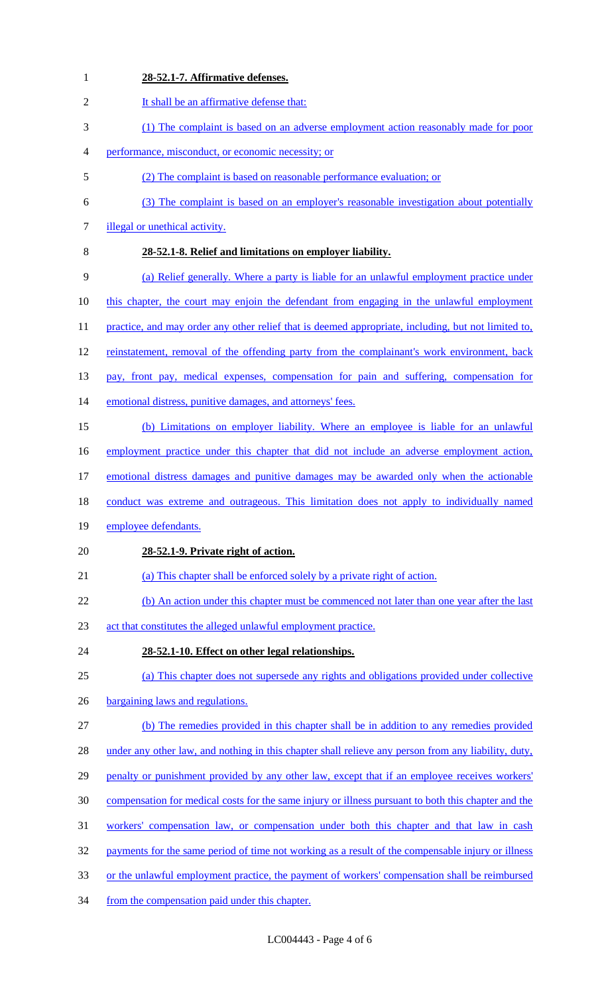| $\mathbf{1}$     | 28-52.1-7. Affirmative defenses.                                                                    |
|------------------|-----------------------------------------------------------------------------------------------------|
| $\overline{2}$   | It shall be an affirmative defense that:                                                            |
| 3                | (1) The complaint is based on an adverse employment action reasonably made for poor                 |
| 4                | performance, misconduct, or economic necessity; or                                                  |
| 5                | (2) The complaint is based on reasonable performance evaluation; or                                 |
| 6                | (3) The complaint is based on an employer's reasonable investigation about potentially              |
| 7                | illegal or unethical activity.                                                                      |
| 8                | 28-52.1-8. Relief and limitations on employer liability.                                            |
| 9                | (a) Relief generally. Where a party is liable for an unlawful employment practice under             |
| 10               | this chapter, the court may enjoin the defendant from engaging in the unlawful employment           |
| 11               | practice, and may order any other relief that is deemed appropriate, including, but not limited to, |
| 12               | reinstatement, removal of the offending party from the complainant's work environment, back         |
| 13               | pay, front pay, medical expenses, compensation for pain and suffering, compensation for             |
| 14               | emotional distress, punitive damages, and attorneys' fees.                                          |
| 15               | (b) Limitations on employer liability. Where an employee is liable for an unlawful                  |
| 16               | employment practice under this chapter that did not include an adverse employment action,           |
| 17               | emotional distress damages and punitive damages may be awarded only when the actionable             |
| 18               | conduct was extreme and outrageous. This limitation does not apply to individually named            |
| 19               | employee defendants.                                                                                |
| 20               | 28-52.1-9. Private right of action.                                                                 |
| 21               | (a) This chapter shall be enforced solely by a private right of action.                             |
| 22               | (b) An action under this chapter must be commenced not later than one year after the last           |
| 23               | act that constitutes the alleged unlawful employment practice.                                      |
| 24               | 28-52.1-10. Effect on other legal relationships.                                                    |
| 25               | (a) This chapter does not supersede any rights and obligations provided under collective            |
| 26               | bargaining laws and regulations.                                                                    |
| 27               | (b) The remedies provided in this chapter shall be in addition to any remedies provided             |
| 28               | under any other law, and nothing in this chapter shall relieve any person from any liability, duty, |
| 29               | penalty or punishment provided by any other law, except that if an employee receives workers'       |
| 30               | compensation for medical costs for the same injury or illness pursuant to both this chapter and the |
| 31               | workers' compensation law, or compensation under both this chapter and that law in cash             |
| 32               | payments for the same period of time not working as a result of the compensable injury or illness   |
| 33               | or the unlawful employment practice, the payment of workers' compensation shall be reimbursed       |
| $\sim$ $\lambda$ |                                                                                                     |

from the compensation paid under this chapter.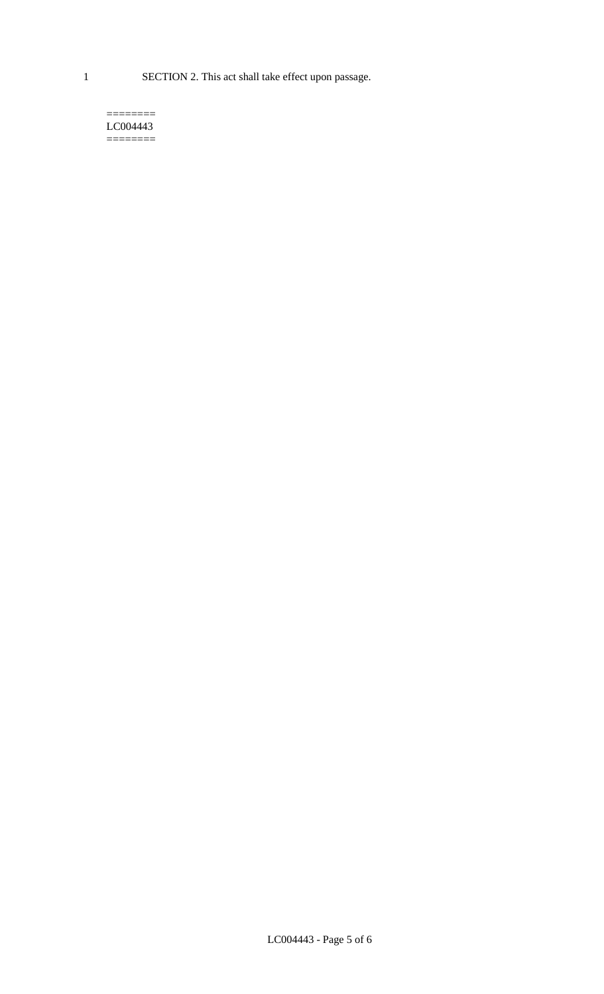1 SECTION 2. This act shall take effect upon passage.

#### $=$ LC004443  $=$